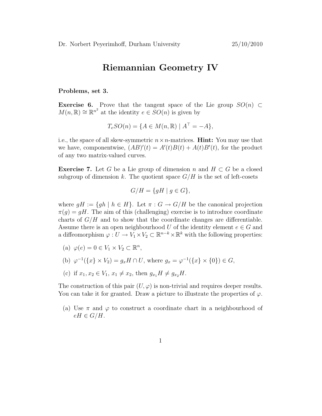## Riemannian Geometry IV

Problems, set 3.

Exercise 6. Prove that the tangent space of the Lie group  $SO(n) \subset$  $M(n, \mathbb{R}) \cong \mathbb{R}^{n^2}$  at the identity  $e \in SO(n)$  is given by

$$
T_e SO(n) = \{ A \in M(n, \mathbb{R}) \mid A^{\top} = -A \},
$$

i.e., the space of all skew-symmetric  $n \times n$ -matrices. **Hint:** You may use that we have, componentwise,  $(AB)'(t) = A'(t)B(t) + A(t)B'(t)$ , for the product of any two matrix-valued curves.

**Exercise** 7. Let G be a Lie group of dimension n and  $H \subset G$  be a closed subgroup of dimension k. The quotient space  $G/H$  is the set of left-cosets

$$
G/H = \{ gH \mid g \in G \},
$$

where  $gH := \{gh \mid h \in H\}$ . Let  $\pi : G \to G/H$  be the canonical projection  $\pi(g) = gH$ . The aim of this (challenging) exercise is to introduce coordinate charts of  $G/H$  and to show that the coordinate changes are differentiable. Assume there is an open neighbourhood U of the identity element  $e \in G$  and a diffeomorphism  $\varphi: U \to V_1 \times V_2 \subset \mathbb{R}^{n-k} \times \mathbb{R}^k$  with the following properties:

- (a)  $\varphi(e) = 0 \in V_1 \times V_2 \subset \mathbb{R}^n$ ,
- (b)  $\varphi^{-1}(\{x\} \times V_2) = g_x H \cap U$ , where  $g_x = \varphi^{-1}(\{x\} \times \{0\}) \in G$ ,
- (c) if  $x_1, x_2 \in V_1$ ,  $x_1 \neq x_2$ , then  $g_{x_1}H \neq g_{x_2}H$ .

The construction of this pair  $(U, \varphi)$  is non-trivial and requires deeper results. You can take it for granted. Draw a picture to illustrate the properties of  $\varphi$ .

(a) Use  $\pi$  and  $\varphi$  to construct a coordinate chart in a neighbourhood of  $eH \in G/H$ .